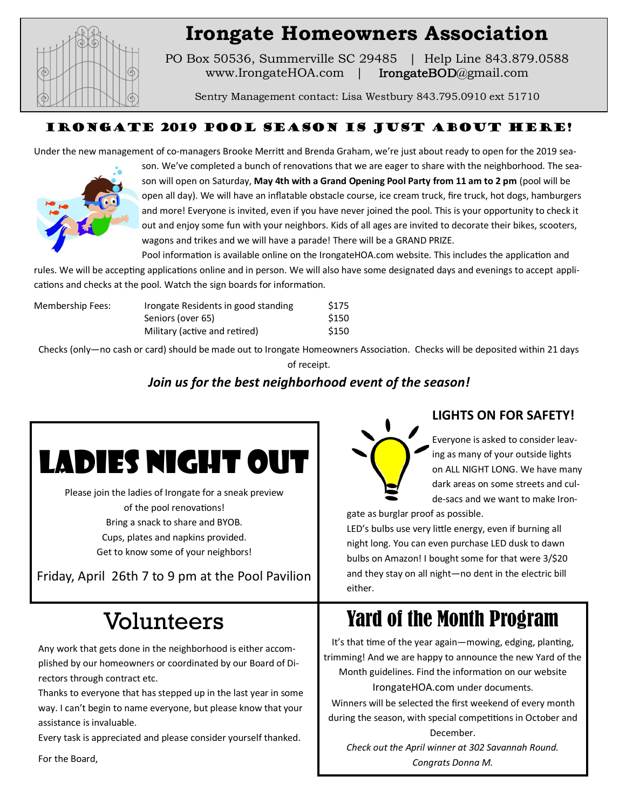

## **Irongate Homeowners Association**

PO Box 50536, Summerville SC 29485 | Help Line 843.879.0588 www.IrongateHOA.com | IrongateBOD@gmail.com

Sentry Management contact: Lisa Westbury 843.795.0910 ext 51710

### Irongate 2019 Pool Season is just about here!

Under the new management of co-managers Brooke Merritt and Brenda Graham, we're just about ready to open for the 2019 sea-



son. We've completed a bunch of renovations that we are eager to share with the neighborhood. The season will open on Saturday, **May 4th with a Grand Opening Pool Party from 11 am to 2 pm** (pool will be open all day). We will have an inflatable obstacle course, ice cream truck, fire truck, hot dogs, hamburgers and more! Everyone is invited, even if you have never joined the pool. This is your opportunity to check it out and enjoy some fun with your neighbors. Kids of all ages are invited to decorate their bikes, scooters, wagons and trikes and we will have a parade! There will be a GRAND PRIZE.

Pool information is available online on the IrongateHOA.com website. This includes the application and rules. We will be accepting applications online and in person. We will also have some designated days and evenings to accept appli-

cations and checks at the pool. Watch the sign boards for information.

| Membership Fees: | Irongate Residents in good standing | \$175 |
|------------------|-------------------------------------|-------|
|                  | Seniors (over 65)                   | \$150 |
|                  | Military (active and retired)       | \$150 |

Checks (only—no cash or card) should be made out to Irongate Homeowners Association. Checks will be deposited within 21 days of receipt.

## *Join us for the best neighborhood event of the season!*



Please join the ladies of Irongate for a sneak preview of the pool renovations! Bring a snack to share and BYOB. Cups, plates and napkins provided. Get to know some of your neighbors!

Friday, April 26th 7 to 9 pm at the Pool Pavilion

# Volunteers

Any work that gets done in the neighborhood is either accomplished by our homeowners or coordinated by our Board of Directors through contract etc.

Thanks to everyone that has stepped up in the last year in some way. I can't begin to name everyone, but please know that your assistance is invaluable.

Every task is appreciated and please consider yourself thanked.

For the Board,



## **LIGHTS ON FOR SAFETY!**

Everyone is asked to consider leaving as many of your outside lights on ALL NIGHT LONG. We have many dark areas on some streets and culde-sacs and we want to make Iron-

gate as burglar proof as possible.

LED's bulbs use very little energy, even if burning all night long. You can even purchase LED dusk to dawn bulbs on Amazon! I bought some for that were 3/\$20 and they stay on all night—no dent in the electric bill either.

## Yard of the Month Program

It's that time of the year again—mowing, edging, planting, trimming! And we are happy to announce the new Yard of the Month guidelines. Find the information on our website IrongateHOA.com under documents.

Winners will be selected the first weekend of every month during the season, with special competitions in October and December.

*Check out the April winner at 302 Savannah Round. Congrats Donna M.*